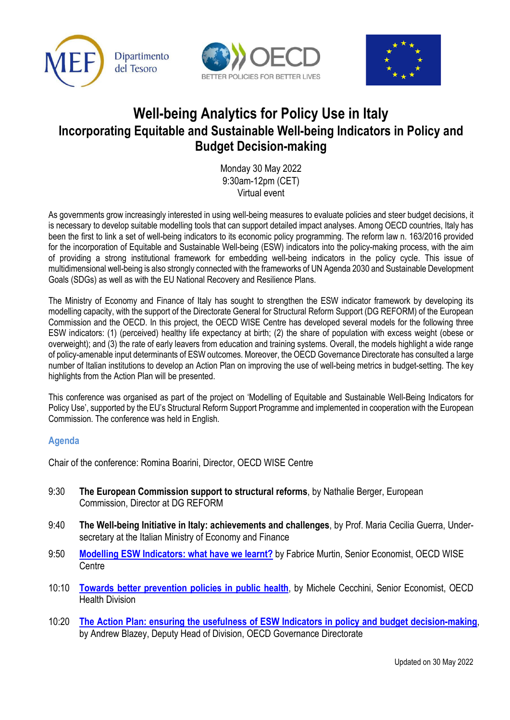





## **Well-being Analytics for Policy Use in Italy Incorporating Equitable and Sustainable Well-being Indicators in Policy and Budget Decision-making**

Monday 30 May 2022 9:30am-12pm (CET) Virtual event

As governments grow increasingly interested in using well-being measures to evaluate policies and steer budget decisions, it is necessary to develop suitable modelling tools that can support detailed impact analyses. Among OECD countries, Italy has been the first to link a set of well-being indicators to its economic policy programming. The reform law n. 163/2016 provided for the incorporation of Equitable and Sustainable Well-being (ESW) indicators into the policy-making process, with the aim of providing a strong institutional framework for embedding well-being indicators in the policy cycle. This issue of multidimensional well-being is also strongly connected with the frameworks of UN Agenda 2030 and Sustainable Development Goals (SDGs) as well as with the EU National Recovery and Resilience Plans.

The Ministry of Economy and Finance of Italy has sought to strengthen the ESW indicator framework by developing its modelling capacity, with the support of the Directorate General for Structural Reform Support (DG REFORM) of the European Commission and the OECD. In this project, the OECD WISE Centre has developed several models for the following three ESW indicators: (1) (perceived) healthy life expectancy at birth; (2) the share of population with excess weight (obese or overweight); and (3) the rate of early leavers from education and training systems. Overall, the models highlight a wide range of policy-amenable input determinants of ESW outcomes. Moreover, the OECD Governance Directorate has consulted a large number of Italian institutions to develop an Action Plan on improving the use of well-being metrics in budget-setting. The key highlights from the Action Plan will be presented.

This conference was organised as part of the project on 'Modelling of Equitable and Sustainable Well-Being Indicators for Policy Use', supported by the EU's Structural Reform Support Programme and implemented in cooperation with the European Commission. The conference was held in English.

## **Agenda**

Chair of the conference: Romina Boarini, Director, OECD WISE Centre

- 9:30 **The European Commission support to structural reforms**, by Nathalie Berger, European Commission, Director at DG REFORM
- 9:40 **The Well-being Initiative in Italy: achievements and challenges**, by Prof. Maria Cecilia Guerra, Undersecretary at the Italian Ministry of Economy and Finance
- 9:50 **[Modelling ESW Indicators: what have we learnt?](https://www.slideshare.net/StatsCommunications/wellbeing-analytics-for-policy-use-in-italy-fabrice-murtin)** by Fabrice Murtin, Senior Economist, OECD WISE **Centre**
- 10:10 **[Towards better prevention policies in public health](https://www.slideshare.net/StatsCommunications/wellbeing-analytics-for-policy-use-in-italy-michele-cecchini)**, by Michele Cecchini, Senior Economist, OECD Health Division
- 10:20 **[The Action Plan: ensuring the usefulness of ESW Indicators in policy and budget decision-making](https://www.slideshare.net/StatsCommunications/wellbeing-analytics-for-policy-use-in-italy-andrew-blazey-251882912)**, by Andrew Blazey, Deputy Head of Division, OECD Governance Directorate

Updated on 30 May 2022